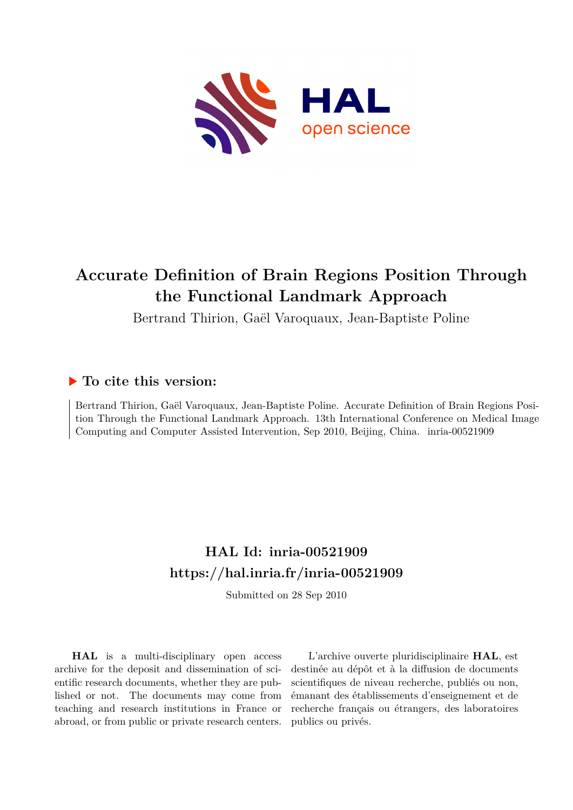

# **Accurate Definition of Brain Regions Position Through the Functional Landmark Approach**

Bertrand Thirion, Gaël Varoquaux, Jean-Baptiste Poline

# **To cite this version:**

Bertrand Thirion, Gaël Varoquaux, Jean-Baptiste Poline. Accurate Definition of Brain Regions Position Through the Functional Landmark Approach. 13th International Conference on Medical Image Computing and Computer Assisted Intervention, Sep 2010, Beijing, China. inria-00521909

# **HAL Id: inria-00521909 <https://hal.inria.fr/inria-00521909>**

Submitted on 28 Sep 2010

**HAL** is a multi-disciplinary open access archive for the deposit and dissemination of scientific research documents, whether they are published or not. The documents may come from teaching and research institutions in France or abroad, or from public or private research centers.

L'archive ouverte pluridisciplinaire **HAL**, est destinée au dépôt et à la diffusion de documents scientifiques de niveau recherche, publiés ou non, émanant des établissements d'enseignement et de recherche français ou étrangers, des laboratoires publics ou privés.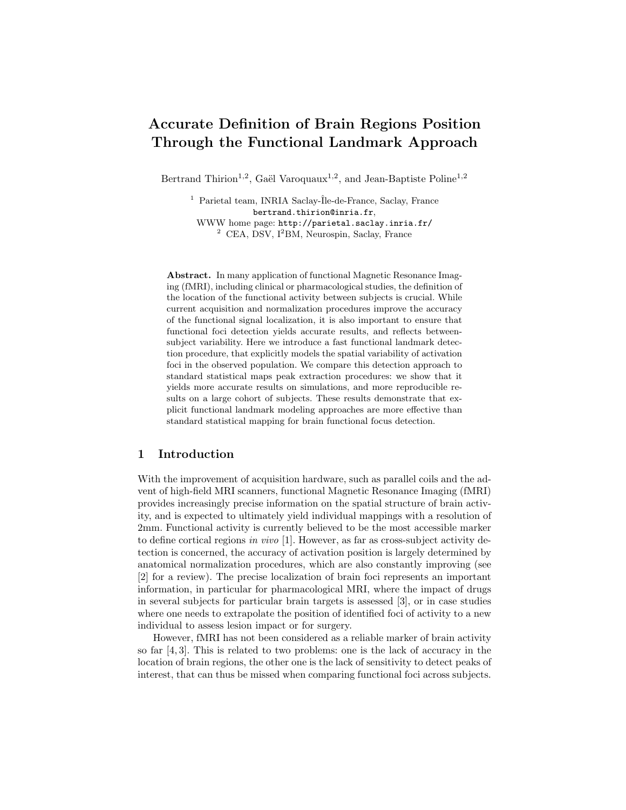# Accurate Definition of Brain Regions Position Through the Functional Landmark Approach

Bertrand Thirion<sup>1,2</sup>, Gaël Varoquaux<sup>1,2</sup>, and Jean-Baptiste Poline<sup>1,2</sup>

 $1$  Parietal team, INRIA Saclay-Île-de-France, Saclay, France bertrand.thirion@inria.fr, WWW home page: http://parietal.saclay.inria.fr/ <sup>2</sup> CEA, DSV, I<sup>2</sup>BM, Neurospin, Saclay, France

Abstract. In many application of functional Magnetic Resonance Imaging (fMRI), including clinical or pharmacological studies, the definition of the location of the functional activity between subjects is crucial. While current acquisition and normalization procedures improve the accuracy of the functional signal localization, it is also important to ensure that functional foci detection yields accurate results, and reflects betweensubject variability. Here we introduce a fast functional landmark detection procedure, that explicitly models the spatial variability of activation foci in the observed population. We compare this detection approach to standard statistical maps peak extraction procedures: we show that it yields more accurate results on simulations, and more reproducible results on a large cohort of subjects. These results demonstrate that explicit functional landmark modeling approaches are more effective than standard statistical mapping for brain functional focus detection.

## 1 Introduction

With the improvement of acquisition hardware, such as parallel coils and the advent of high-field MRI scanners, functional Magnetic Resonance Imaging (fMRI) provides increasingly precise information on the spatial structure of brain activity, and is expected to ultimately yield individual mappings with a resolution of 2mm. Functional activity is currently believed to be the most accessible marker to define cortical regions in vivo [1]. However, as far as cross-subject activity detection is concerned, the accuracy of activation position is largely determined by anatomical normalization procedures, which are also constantly improving (see [2] for a review). The precise localization of brain foci represents an important information, in particular for pharmacological MRI, where the impact of drugs in several subjects for particular brain targets is assessed [3], or in case studies where one needs to extrapolate the position of identified foci of activity to a new individual to assess lesion impact or for surgery.

However, fMRI has not been considered as a reliable marker of brain activity so far [4, 3]. This is related to two problems: one is the lack of accuracy in the location of brain regions, the other one is the lack of sensitivity to detect peaks of interest, that can thus be missed when comparing functional foci across subjects.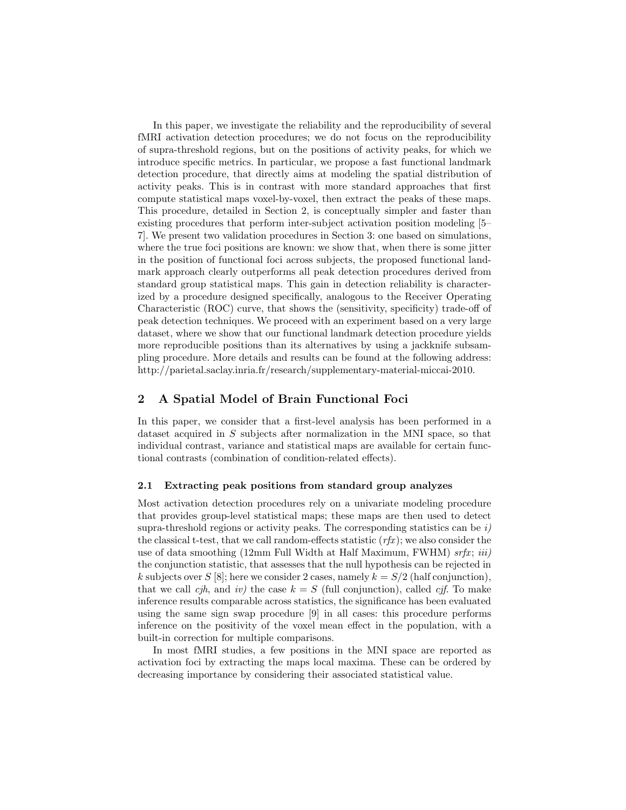In this paper, we investigate the reliability and the reproducibility of several fMRI activation detection procedures; we do not focus on the reproducibility of supra-threshold regions, but on the positions of activity peaks, for which we introduce specific metrics. In particular, we propose a fast functional landmark detection procedure, that directly aims at modeling the spatial distribution of activity peaks. This is in contrast with more standard approaches that first compute statistical maps voxel-by-voxel, then extract the peaks of these maps. This procedure, detailed in Section 2, is conceptually simpler and faster than existing procedures that perform inter-subject activation position modeling [5– 7]. We present two validation procedures in Section 3: one based on simulations, where the true foci positions are known: we show that, when there is some jitter in the position of functional foci across subjects, the proposed functional landmark approach clearly outperforms all peak detection procedures derived from standard group statistical maps. This gain in detection reliability is characterized by a procedure designed specifically, analogous to the Receiver Operating Characteristic (ROC) curve, that shows the (sensitivity, specificity) trade-off of peak detection techniques. We proceed with an experiment based on a very large dataset, where we show that our functional landmark detection procedure yields more reproducible positions than its alternatives by using a jackknife subsampling procedure. More details and results can be found at the following address: http://parietal.saclay.inria.fr/research/supplementary-material-miccai-2010.

# 2 A Spatial Model of Brain Functional Foci

In this paper, we consider that a first-level analysis has been performed in a dataset acquired in S subjects after normalization in the MNI space, so that individual contrast, variance and statistical maps are available for certain functional contrasts (combination of condition-related effects).

#### 2.1 Extracting peak positions from standard group analyzes

Most activation detection procedures rely on a univariate modeling procedure that provides group-level statistical maps; these maps are then used to detect supra-threshold regions or activity peaks. The corresponding statistics can be  $i$ ) the classical t-test, that we call random-effects statistic  $(rfx)$ ; we also consider the use of data smoothing (12mm Full Width at Half Maximum, FWHM)  $srfx; iii)$ the conjunction statistic, that assesses that the null hypothesis can be rejected in k subjects over S [8]; here we consider 2 cases, namely  $k = S/2$  (half conjunction), that we call cjh, and iv) the case  $k = S$  (full conjunction), called cjf. To make inference results comparable across statistics, the significance has been evaluated using the same sign swap procedure [9] in all cases: this procedure performs inference on the positivity of the voxel mean effect in the population, with a built-in correction for multiple comparisons.

In most fMRI studies, a few positions in the MNI space are reported as activation foci by extracting the maps local maxima. These can be ordered by decreasing importance by considering their associated statistical value.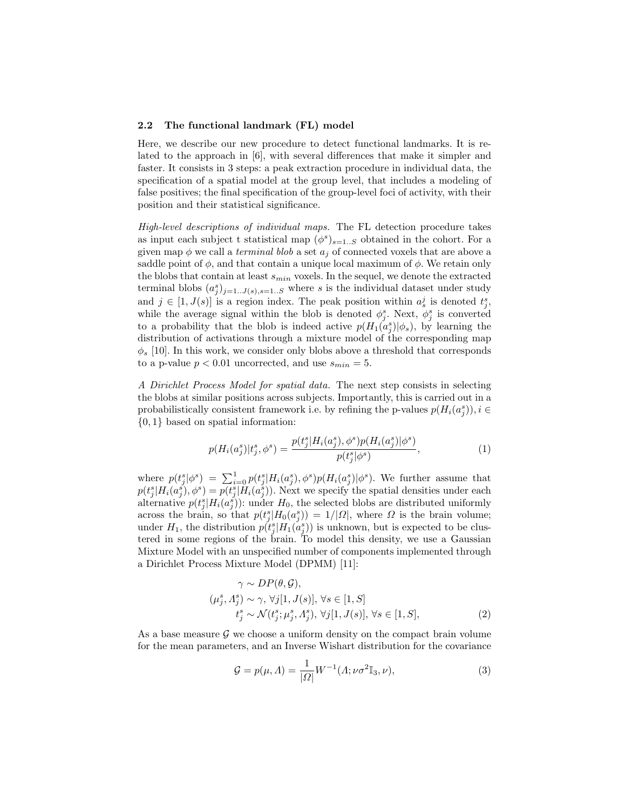#### 2.2 The functional landmark (FL) model

Here, we describe our new procedure to detect functional landmarks. It is related to the approach in [6], with several differences that make it simpler and faster. It consists in 3 steps: a peak extraction procedure in individual data, the specification of a spatial model at the group level, that includes a modeling of false positives; the final specification of the group-level foci of activity, with their position and their statistical significance.

High-level descriptions of individual maps. The FL detection procedure takes as input each subject t statistical map  $(\phi^s)_{s=1..S}$  obtained in the cohort. For a given map  $\phi$  we call a *terminal blob* a set  $a_j$  of connected voxels that are above a saddle point of  $\phi$ , and that contain a unique local maximum of  $\phi$ . We retain only the blobs that contain at least  $s_{min}$  voxels. In the sequel, we denote the extracted terminal blobs  $(a_j^s)_{j=1..J(s),s=1..S}$  where s is the individual dataset under study and  $j \in [1, J(s)]$  is a region index. The peak position within  $a_s^j$  is denoted  $t_j^s$ , while the average signal within the blob is denoted  $\phi_j^s$ . Next,  $\phi_j^s$  is converted to a probability that the blob is indeed active  $p(H_1(a_j^s)|\phi_s)$ , by learning the distribution of activations through a mixture model of the corresponding map  $\phi_s$  [10]. In this work, we consider only blobs above a threshold that corresponds to a p-value  $p < 0.01$  uncorrected, and use  $s_{min} = 5$ .

A Dirichlet Process Model for spatial data. The next step consists in selecting the blobs at similar positions across subjects. Importantly, this is carried out in a probabilistically consistent framework i.e. by refining the p-values  $p(H_i(a_j^s)), i \in$ {0, 1} based on spatial information:

$$
p(H_i(a_j^s)|t_j^s, \phi^s) = \frac{p(t_j^s|H_i(a_j^s), \phi^s)p(H_i(a_j^s)|\phi^s)}{p(t_j^s|\phi^s)},
$$
\n(1)

where  $p(t_j^s | \phi^s) = \sum_{i=0}^1 p(t_j^s | H_i(a_j^s), \phi^s) p(H_i(a_j^s) | \phi^s)$ . We further assume that  $p(t_j^s|H_i(a_j^s),\phi^s) = p(t_j^s|H_i(a_j^s)).$  Next we specify the spatial densities under each alternative  $p(t_j^s|H_i(a_j^s))$ : under  $H_0$ , the selected blobs are distributed uniformly across the brain, so that  $p(t_j^s|H_0(a_j^s)) = 1/|\Omega|$ , where  $\Omega$  is the brain volume; under  $H_1$ , the distribution  $p(t_j^s|H_1(a_j^s))$  is unknown, but is expected to be clustered in some regions of the brain. To model this density, we use a Gaussian Mixture Model with an unspecified number of components implemented through a Dirichlet Process Mixture Model (DPMM) [11]:

$$
\gamma \sim DP(\theta, \mathcal{G}),
$$
  
\n
$$
(\mu_j^s, \Lambda_j^s) \sim \gamma, \forall j[1, J(s)], \forall s \in [1, S]
$$
  
\n
$$
t_j^s \sim \mathcal{N}(t_j^s; \mu_j^s, \Lambda_j^s), \forall j[1, J(s)], \forall s \in [1, S],
$$
  
\n(2)

As a base measure  $\mathcal G$  we choose a uniform density on the compact brain volume for the mean parameters, and an Inverse Wishart distribution for the covariance

$$
\mathcal{G} = p(\mu, \Lambda) = \frac{1}{|\Omega|} W^{-1}(\Lambda; \nu \sigma^2 \mathbb{I}_3, \nu), \tag{3}
$$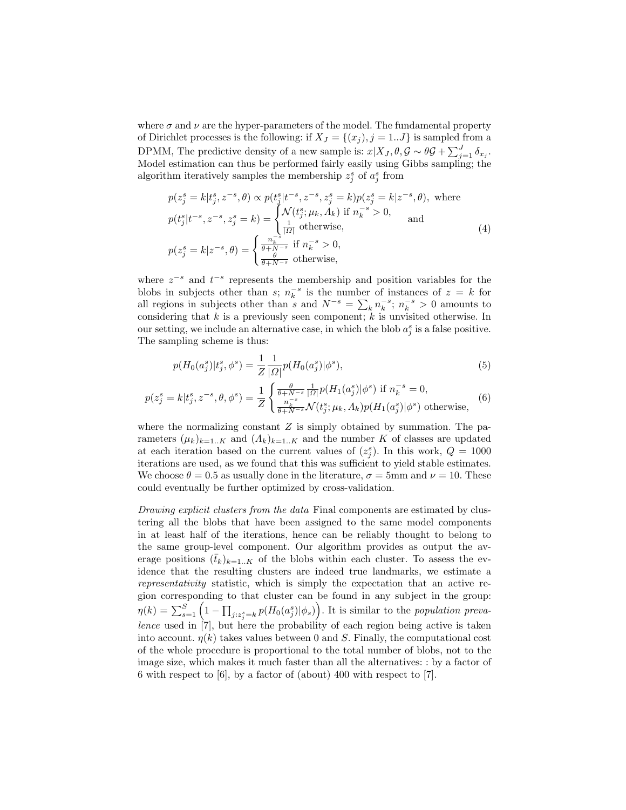where  $\sigma$  and  $\nu$  are the hyper-parameters of the model. The fundamental property of Dirichlet processes is the following: if  $X_J = \{(x_j), j = 1...J\}$  is sampled from a DPMM, The predictive density of a new sample is:  $x|X_J, \theta, \mathcal{G} \sim \theta \mathcal{G} + \sum_{j=1}^J \delta_{x_j}$ . Model estimation can thus be performed fairly easily using Gibbs sampling; the algorithm iteratively samples the membership  $z_j^s$  of  $a_j^s$  from

$$
p(z_j^s = k|t_j^s, z^{-s}, \theta) \propto p(t_j^s|t^{-s}, z^{-s}, z_j^s = k)p(z_j^s = k|z^{-s}, \theta), \text{ where}
$$
  
\n
$$
p(t_j^s|t^{-s}, z^{-s}, z_j^s = k) = \begin{cases} \mathcal{N}(t_j^s; \mu_k, \Lambda_k) & \text{if } n_k^{-s} > 0, \\ \frac{1}{|\Omega|} & \text{otherwise,} \end{cases}
$$
 and  
\n
$$
p(z_j^s = k|z^{-s}, \theta) = \begin{cases} \frac{n_k^{-s}}{\theta + N^{-s}} & \text{if } n_k^{-s} > 0, \\ \frac{\theta}{\theta + N^{-s}} & \text{otherwise,} \end{cases}
$$
 (4)

where  $z^{-s}$  and  $t^{-s}$  represents the membership and position variables for the blobs in subjects other than  $s$ ;  $n_k^{-s}$  is the number of instances of  $z = k$  for all regions in subjects other than s and  $N^{-s} = \sum_{k} n_k^{-s}$ ;  $n_k^{-s} > 0$  amounts to considering that  $k$  is a previously seen component;  $k$  is unvisited otherwise. In our setting, we include an alternative case, in which the blob  $a_j^s$  is a false positive. The sampling scheme is thus:

$$
p(H_0(a_j^s)|t_j^s, \phi^s) = \frac{1}{Z} \frac{1}{|\Omega|} p(H_0(a_j^s)|\phi^s),\tag{5}
$$

$$
p(z_j^s = k | t_j^s, z^{-s}, \theta, \phi^s) = \frac{1}{Z} \begin{cases} \frac{\theta}{\theta + N^{-s}} \frac{1}{|\Omega|} p(H_1(a_j^s) | \phi^s) & \text{if } n_k^{-s} = 0, \\ \frac{n_k^{-s}}{\theta + N^{-s}} \mathcal{N}(t_j^s; \mu_k, \Lambda_k) p(H_1(a_j^s) | \phi^s) & \text{otherwise,} \end{cases}
$$
(6)

where the normalizing constant  $Z$  is simply obtained by summation. The parameters  $(\mu_k)_{k=1..K}$  and  $(\Lambda_k)_{k=1..K}$  and the number K of classes are updated at each iteration based on the current values of  $(z_j^s)$ . In this work,  $Q = 1000$ iterations are used, as we found that this was sufficient to yield stable estimates. We choose  $\theta = 0.5$  as usually done in the literature,  $\sigma = 5$ mm and  $\nu = 10$ . These could eventually be further optimized by cross-validation.

Drawing explicit clusters from the data Final components are estimated by clustering all the blobs that have been assigned to the same model components in at least half of the iterations, hence can be reliably thought to belong to the same group-level component. Our algorithm provides as output the average positions  $(\bar{t}_k)_{k=1..K}$  of the blobs within each cluster. To assess the evidence that the resulting clusters are indeed true landmarks, we estimate a representativity statistic, which is simply the expectation that an active region corresponding to that cluster can be found in any subject in the group:  $\eta(k) = \sum_{s=1}^{S} \left(1 - \prod_{j:z_j^s = k} p(H_0(a_j^s)|\phi_s)\right)$ . It is similar to the population prevalence used in  $\overline{7}$ , but here the probability of each region being active is taken into account.  $\eta(k)$  takes values between 0 and S. Finally, the computational cost of the whole procedure is proportional to the total number of blobs, not to the image size, which makes it much faster than all the alternatives: : by a factor of 6 with respect to [6], by a factor of (about) 400 with respect to [7].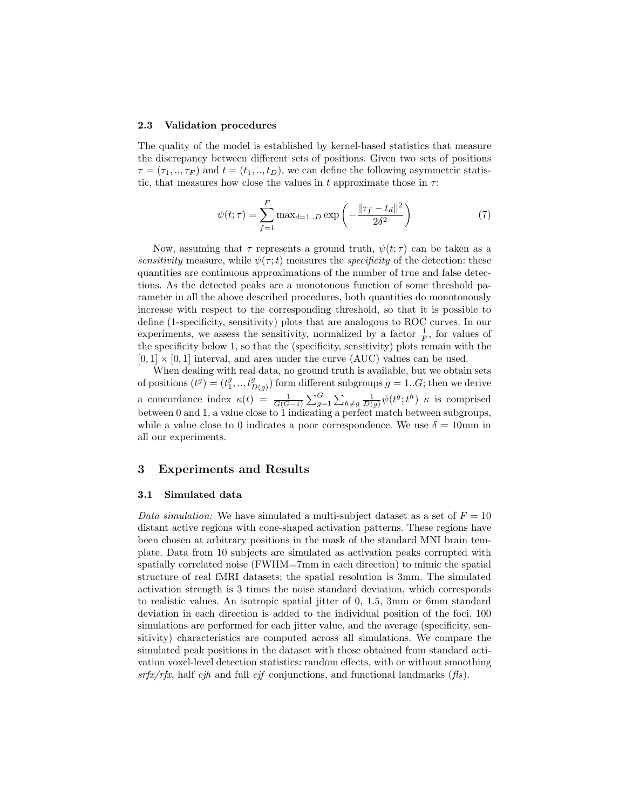#### 2.3 Validation procedures

The quality of the model is established by kernel-based statistics that measure the discrepancy between different sets of positions. Given two sets of positions  $\tau = (\tau_1, ..., \tau_F)$  and  $t = (t_1, ..., t_D)$ , we can define the following asymmetric statistic, that measures how close the values in t approximate those in  $\tau$ :

$$
\psi(t;\tau) = \sum_{f=1}^{F} \max_{d=1..D} \exp\left(-\frac{\|\tau_f - t_d\|^2}{2\delta^2}\right)
$$
(7)

Now, assuming that  $\tau$  represents a ground truth,  $\psi(t;\tau)$  can be taken as a sensitivity measure, while  $\psi(\tau;t)$  measures the *specificity* of the detection: these quantities are continuous approximations of the number of true and false detections. As the detected peaks are a monotonous function of some threshold parameter in all the above described procedures, both quantities do monotonously increase with respect to the corresponding threshold, so that it is possible to define (1-specificity, sensitivity) plots that are analogous to ROC curves. In our experiments, we assess the sensitivity, normalized by a factor  $\frac{1}{F}$ , for values of the specificity below 1, so that the (specificity, sensitivity) plots remain with the  $[0, 1] \times [0, 1]$  interval, and area under the curve (AUC) values can be used.

When dealing with real data, no ground truth is available, but we obtain sets of positions  $(t^g) = (t_1^g, ..., t_{D(g)}^g)$  form different subgroups  $g = 1...G$ ; then we derive a concordance index  $\kappa(t) = \frac{1}{G(G-1)} \sum_{g=1}^{G} \sum_{h \neq g} \frac{1}{D(g)} \psi(t^g; t^h)$   $\kappa$  is comprised between 0 and 1, a value close to 1 indicating a perfect match between subgroups, while a value close to 0 indicates a poor correspondence. We use  $\delta = 10$ mm in all our experiments.

### 3 Experiments and Results

#### 3.1 Simulated data

Data simulation: We have simulated a multi-subject dataset as a set of  $F = 10$ distant active regions with cone-shaped activation patterns. These regions have been chosen at arbitrary positions in the mask of the standard MNI brain template. Data from 10 subjects are simulated as activation peaks corrupted with spatially correlated noise (FWHM=7mm in each direction) to mimic the spatial structure of real fMRI datasets; the spatial resolution is 3mm. The simulated activation strength is 3 times the noise standard deviation, which corresponds to realistic values. An isotropic spatial jitter of 0, 1.5, 3mm or 6mm standard deviation in each direction is added to the individual position of the foci. 100 simulations are performed for each jitter value, and the average (specificity, sensitivity) characteristics are computed across all simulations. We compare the simulated peak positions in the dataset with those obtained from standard activation voxel-level detection statistics: random effects, with or without smoothing  $srfx/rfx$ , half cjh and full cjf conjunctions, and functional landmarks (fls).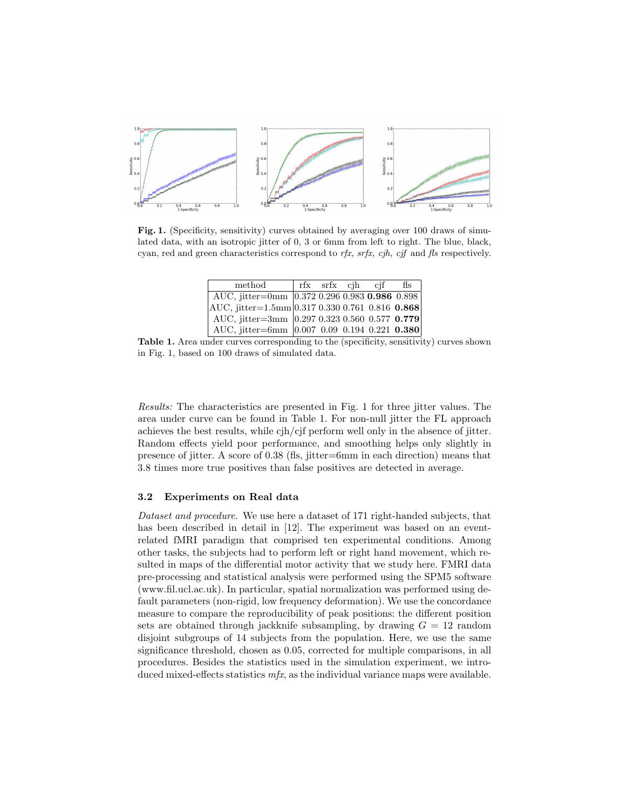

Fig. 1. (Specificity, sensitivity) curves obtained by averaging over 100 draws of simulated data, with an isotropic jitter of 0, 3 or 6mm from left to right. The blue, black, cyan, red and green characteristics correspond to  $rfx$ ,  $srfx$ ,  $cjh$ ,  $cjf$  and  $fls$  respectively.

| method                                                 |  | rfx srfx cih cif | fls |
|--------------------------------------------------------|--|------------------|-----|
| AUC, jitter=0mm 0.372 0.296 0.983 0.986 0.898          |  |                  |     |
| $ AUC,$ jitter=1.5mm $ 0.317 0.330 0.761 0.816 0.868 $ |  |                  |     |
| AUC, jitter=3mm $ 0.297 0.323 0.560 0.577 0.779 $      |  |                  |     |
| AUC, jitter=6mm  0.007 0.09 0.194 0.221 0.380          |  |                  |     |

Table 1. Area under curves corresponding to the (specificity, sensitivity) curves shown in Fig. 1, based on 100 draws of simulated data.

Results: The characteristics are presented in Fig. 1 for three jitter values. The area under curve can be found in Table 1. For non-null jitter the FL approach achieves the best results, while cjh/cjf perform well only in the absence of jitter. Random effects yield poor performance, and smoothing helps only slightly in presence of jitter. A score of 0.38 (fls, jitter=6mm in each direction) means that 3.8 times more true positives than false positives are detected in average.

#### 3.2 Experiments on Real data

Dataset and procedure. We use here a dataset of 171 right-handed subjects, that has been described in detail in [12]. The experiment was based on an eventrelated fMRI paradigm that comprised ten experimental conditions. Among other tasks, the subjects had to perform left or right hand movement, which resulted in maps of the differential motor activity that we study here. FMRI data pre-processing and statistical analysis were performed using the SPM5 software (www.fil.ucl.ac.uk). In particular, spatial normalization was performed using default parameters (non-rigid, low frequency deformation). We use the concordance measure to compare the reproducibility of peak positions: the different position sets are obtained through jackknife subsampling, by drawing  $G = 12$  random disjoint subgroups of 14 subjects from the population. Here, we use the same significance threshold, chosen as 0.05, corrected for multiple comparisons, in all procedures. Besides the statistics used in the simulation experiment, we introduced mixed-effects statistics  $mfx$ , as the individual variance maps were available.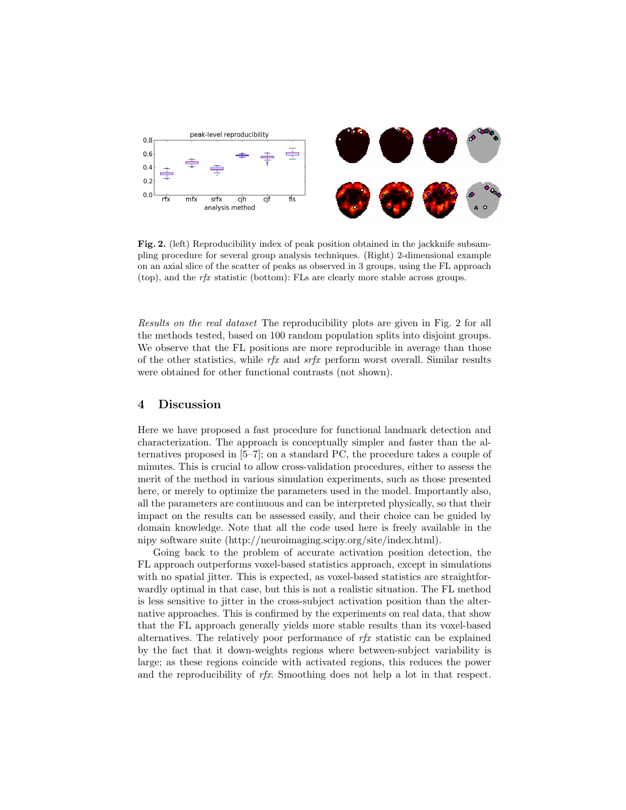

Fig. 2. (left) Reproducibility index of peak position obtained in the jackknife subsampling procedure for several group analysis techniques. (Right) 2-dimensional example on an axial slice of the scatter of peaks as observed in 3 groups, using the FL approach (top), and the  $rfx$  statistic (bottom): FLs are clearly more stable across groups.

Results on the real dataset The reproducibility plots are given in Fig. 2 for all the methods tested, based on 100 random population splits into disjoint groups. We observe that the FL positions are more reproducible in average than those of the other statistics, while  $rfx$  and  $srfx$  perform worst overall. Similar results were obtained for other functional contrasts (not shown).

### 4 Discussion

Here we have proposed a fast procedure for functional landmark detection and characterization. The approach is conceptually simpler and faster than the alternatives proposed in [5–7]; on a standard PC, the procedure takes a couple of minutes. This is crucial to allow cross-validation procedures, either to assess the merit of the method in various simulation experiments, such as those presented here, or merely to optimize the parameters used in the model. Importantly also, all the parameters are continuous and can be interpreted physically, so that their impact on the results can be assessed easily, and their choice can be guided by domain knowledge. Note that all the code used here is freely available in the nipy software suite (http://neuroimaging.scipy.org/site/index.html).

Going back to the problem of accurate activation position detection, the FL approach outperforms voxel-based statistics approach, except in simulations with no spatial jitter. This is expected, as voxel-based statistics are straightforwardly optimal in that case, but this is not a realistic situation. The FL method is less sensitive to jitter in the cross-subject activation position than the alternative approaches. This is confirmed by the experiments on real data, that show that the FL approach generally yields more stable results than its voxel-based alternatives. The relatively poor performance of  $rfx$  statistic can be explained by the fact that it down-weights regions where between-subject variability is large; as these regions coincide with activated regions, this reduces the power and the reproducibility of rfx. Smoothing does not help a lot in that respect.